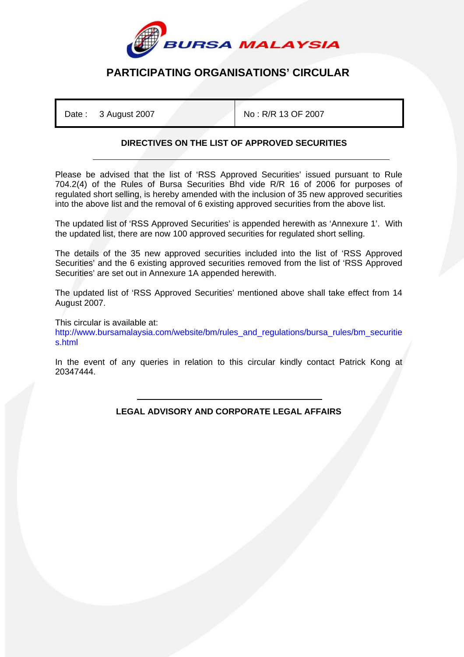

## **PARTICIPATING ORGANISATIONS' CIRCULAR**

Date : 3 August 2007 No : R/R 13 OF 2007

## **DIRECTIVES ON THE LIST OF APPROVED SECURITIES**

Please be advised that the list of 'RSS Approved Securities' issued pursuant to Rule 704.2(4) of the Rules of Bursa Securities Bhd vide R/R 16 of 2006 for purposes of regulated short selling, is hereby amended with the inclusion of 35 new approved securities into the above list and the removal of 6 existing approved securities from the above list.

The updated list of 'RSS Approved Securities' is appended herewith as 'Annexure 1'. With the updated list, there are now 100 approved securities for regulated short selling.

The details of the 35 new approved securities included into the list of 'RSS Approved Securities' and the 6 existing approved securities removed from the list of 'RSS Approved Securities' are set out in Annexure 1A appended herewith.

The updated list of 'RSS Approved Securities' mentioned above shall take effect from 14 August 2007.

This circular is available at: http://www.bursamalaysia.com/website/bm/rules\_and\_regulations/bursa\_rules/bm\_securitie s.html

In the event of any queries in relation to this circular kindly contact Patrick Kong at 20347444.

> ֺ **LEGAL ADVISORY AND CORPORATE LEGAL AFFAIRS**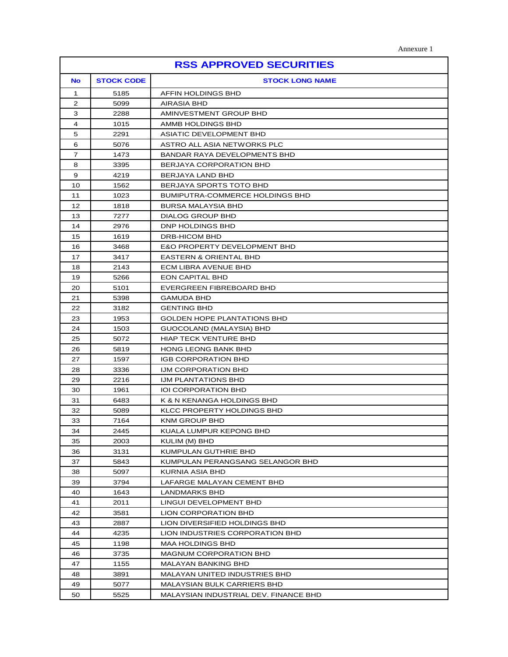| <b>RSS APPROVED SECURITIES</b> |                   |                                         |  |  |  |
|--------------------------------|-------------------|-----------------------------------------|--|--|--|
| <b>No</b>                      | <b>STOCK CODE</b> | <b>STOCK LONG NAME</b>                  |  |  |  |
| 1                              | 5185              | AFFIN HOLDINGS BHD                      |  |  |  |
| 2                              | 5099              | <b>AIRASIA BHD</b>                      |  |  |  |
| 3                              | 2288              | AMINVESTMENT GROUP BHD                  |  |  |  |
| 4                              | 1015              | AMMB HOLDINGS BHD                       |  |  |  |
| 5                              | 2291              | <b>ASIATIC DEVELOPMENT BHD</b>          |  |  |  |
| 6                              | 5076              | ASTRO ALL ASIA NETWORKS PLC             |  |  |  |
| $\overline{7}$                 | 1473              | BANDAR RAYA DEVELOPMENTS BHD            |  |  |  |
| 8                              | 3395              | BERJAYA CORPORATION BHD                 |  |  |  |
| 9                              | 4219              | BERJAYA LAND BHD                        |  |  |  |
| 10                             | 1562              | BERJAYA SPORTS TOTO BHD                 |  |  |  |
| 11                             | 1023              | BUMIPUTRA-COMMERCE HOLDINGS BHD         |  |  |  |
| 12                             | 1818              | BURSA MALAYSIA BHD                      |  |  |  |
| 13                             | 7277              | <b>DIALOG GROUP BHD</b>                 |  |  |  |
| 14                             | 2976              | DNP HOLDINGS BHD                        |  |  |  |
| 15                             | 1619              | DRB-HICOM BHD                           |  |  |  |
| 16                             | 3468              | <b>E&amp;O PROPERTY DEVELOPMENT BHD</b> |  |  |  |
| 17                             | 3417              | EASTERN & ORIENTAL BHD                  |  |  |  |
| 18                             | 2143              | ECM LIBRA AVENUE BHD                    |  |  |  |
| 19                             | 5266              | EON CAPITAL BHD                         |  |  |  |
| 20                             | 5101              | EVERGREEN FIBREBOARD BHD                |  |  |  |
| 21                             | 5398              | GAMUDA BHD                              |  |  |  |
| 22                             | 3182              | <b>GENTING BHD</b>                      |  |  |  |
| 23                             | 1953              | <b>GOLDEN HOPE PLANTATIONS BHD</b>      |  |  |  |
| 24                             | 1503              | GUOCOLAND (MALAYSIA) BHD                |  |  |  |
| 25                             | 5072              | <b>HIAP TECK VENTURE BHD</b>            |  |  |  |
| 26                             | 5819              | <b>HONG LEONG BANK BHD</b>              |  |  |  |
| 27                             | 1597              | IGB CORPORATION BHD                     |  |  |  |
| 28                             | 3336              | IJM CORPORATION BHD                     |  |  |  |
| 29                             | 2216              | IJM PLANTATIONS BHD                     |  |  |  |
| 30                             | 1961              | <b>IOI CORPORATION BHD</b>              |  |  |  |
| 31                             | 6483              | K & N KENANGA HOLDINGS BHD              |  |  |  |
| 32                             | 5089              | KLCC PROPERTY HOLDINGS BHD              |  |  |  |
| 33                             | 7164              | <b>KNM GROUP BHD</b>                    |  |  |  |
| 34                             | 2445              | KUALA LUMPUR KEPONG BHD                 |  |  |  |
| 35                             | 2003              | KULIM (M) BHD                           |  |  |  |
| 36                             | 3131              | KUMPULAN GUTHRIE BHD                    |  |  |  |
| 37                             | 5843              | KUMPULAN PERANGSANG SELANGOR BHD        |  |  |  |
| 38                             | 5097              | KURNIA ASIA BHD                         |  |  |  |
| 39                             | 3794              | LAFARGE MALAYAN CEMENT BHD              |  |  |  |
| 40                             | 1643              | <b>LANDMARKS BHD</b>                    |  |  |  |
| 41                             | 2011              | LINGUI DEVELOPMENT BHD                  |  |  |  |
| 42                             | 3581              | LION CORPORATION BHD                    |  |  |  |
| 43                             | 2887              | LION DIVERSIFIED HOLDINGS BHD           |  |  |  |
| 44                             | 4235              | LION INDUSTRIES CORPORATION BHD         |  |  |  |
| 45                             | 1198              | <b>MAA HOLDINGS BHD</b>                 |  |  |  |
| 46                             | 3735              | <b>MAGNUM CORPORATION BHD</b>           |  |  |  |
| 47                             | 1155              | MALAYAN BANKING BHD                     |  |  |  |
| 48                             | 3891              | MALAYAN UNITED INDUSTRIES BHD           |  |  |  |
| 49                             | 5077              | MALAYSIAN BULK CARRIERS BHD             |  |  |  |
| 50                             | 5525              | MALAYSIAN INDUSTRIAL DEV. FINANCE BHD   |  |  |  |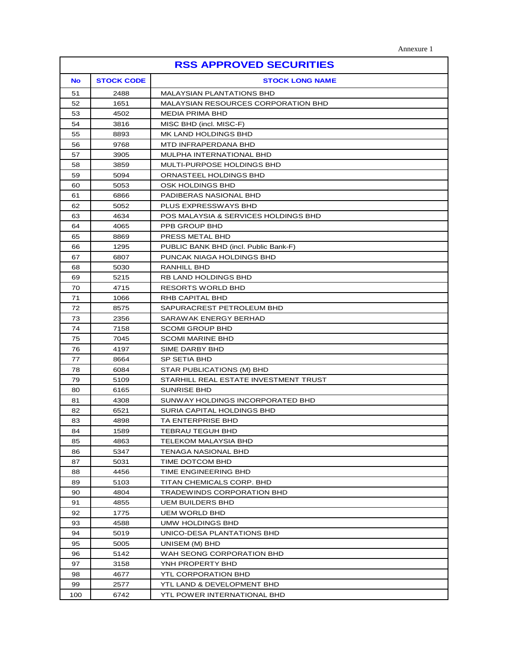| <b>RSS APPROVED SECURITIES</b> |                   |                                            |  |  |  |
|--------------------------------|-------------------|--------------------------------------------|--|--|--|
| <b>No</b>                      | <b>STOCK CODE</b> | <b>STOCK LONG NAME</b>                     |  |  |  |
| 51                             | 2488              | <b>MALAYSIAN PLANTATIONS BHD</b>           |  |  |  |
| 52                             | 1651              | <b>MALAYSIAN RESOURCES CORPORATION BHD</b> |  |  |  |
| 53                             | 4502              | <b>MEDIA PRIMA BHD</b>                     |  |  |  |
| 54                             | 3816              | MISC BHD (incl. MISC-F)                    |  |  |  |
| 55                             | 8893              | MK LAND HOLDINGS BHD                       |  |  |  |
| 56                             | 9768              | MTD INFRAPERDANA BHD                       |  |  |  |
| 57                             | 3905              | MULPHA INTERNATIONAL BHD                   |  |  |  |
| 58                             | 3859              | MULTI-PURPOSE HOLDINGS BHD                 |  |  |  |
| 59                             | 5094              | ORNASTEEL HOLDINGS BHD                     |  |  |  |
| 60                             | 5053              | OSK HOLDINGS BHD                           |  |  |  |
| 61                             | 6866              | PADIBERAS NASIONAL BHD                     |  |  |  |
| 62                             | 5052              | PLUS EXPRESSWAYS BHD                       |  |  |  |
| 63                             | 4634              | POS MALAYSIA & SERVICES HOLDINGS BHD       |  |  |  |
| 64                             | 4065              | PPB GROUP BHD                              |  |  |  |
| 65                             | 8869              | PRESS METAL BHD                            |  |  |  |
| 66                             | 1295              | PUBLIC BANK BHD (incl. Public Bank-F)      |  |  |  |
| 67                             | 6807              | PUNCAK NIAGA HOLDINGS BHD                  |  |  |  |
| 68                             | 5030              | RANHILL BHD                                |  |  |  |
| 69                             | 5215              | RB LAND HOLDINGS BHD                       |  |  |  |
| 70                             | 4715              | RESORTS WORLD BHD                          |  |  |  |
| 71                             | 1066              | <b>RHB CAPITAL BHD</b>                     |  |  |  |
| 72                             | 8575              | SAPURACREST PETROLEUM BHD                  |  |  |  |
| 73                             | 2356              | SARAWAK ENERGY BERHAD                      |  |  |  |
| 74                             | 7158              | <b>SCOMI GROUP BHD</b>                     |  |  |  |
| 75                             | 7045              | <b>SCOMI MARINE BHD</b>                    |  |  |  |
| 76                             | 4197              | SIME DARBY BHD                             |  |  |  |
| 77                             | 8664              | <b>SP SETIA BHD</b>                        |  |  |  |
| 78                             | 6084              | STAR PUBLICATIONS (M) BHD                  |  |  |  |
| 79                             | 5109              | STARHILL REAL ESTATE INVESTMENT TRUST      |  |  |  |
| 80                             | 6165              | <b>SUNRISE BHD</b>                         |  |  |  |
| 81                             | 4308              | SUNWAY HOLDINGS INCORPORATED BHD           |  |  |  |
| 82                             | 6521              | SURIA CAPITAL HOLDINGS BHD                 |  |  |  |
| 83                             | 4898              | TA ENTERPRISE BHD                          |  |  |  |
| 84                             | 1589              | TEBRAU TEGUH BHD                           |  |  |  |
| 85                             | 4863              | TELEKOM MALAYSIA BHD                       |  |  |  |
| 86                             | 5347              | TENAGA NASIONAL BHD                        |  |  |  |
| 87                             | 5031              | TIME DOTCOM BHD                            |  |  |  |
| 88                             | 4456              | TIME ENGINEERING BHD                       |  |  |  |
| 89                             | 5103              | TITAN CHEMICALS CORP. BHD                  |  |  |  |
| 90                             | 4804              | TRADEWINDS CORPORATION BHD                 |  |  |  |
| 91                             | 4855              | <b>UEM BUILDERS BHD</b>                    |  |  |  |
| 92                             | 1775              | <b>UEM WORLD BHD</b>                       |  |  |  |
| 93                             | 4588              | UMW HOLDINGS BHD                           |  |  |  |
| 94                             | 5019              | UNICO-DESA PLANTATIONS BHD                 |  |  |  |
| 95                             | 5005              | UNISEM (M) BHD                             |  |  |  |
| 96                             | 5142              | WAH SEONG CORPORATION BHD                  |  |  |  |
| 97                             | 3158              | YNH PROPERTY BHD                           |  |  |  |
| 98                             | 4677              | YTL CORPORATION BHD                        |  |  |  |
| 99                             | 2577              | YTL LAND & DEVELOPMENT BHD                 |  |  |  |
| 100                            | 6742              | YTL POWER INTERNATIONAL BHD                |  |  |  |